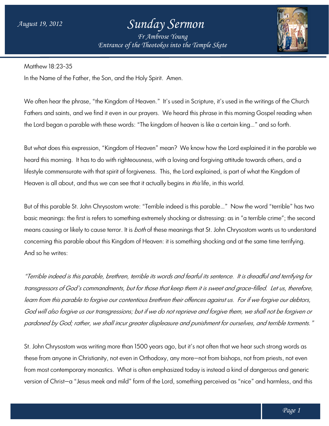## *Sunday Sermon*

*Entrance of the Theotokos Entrance of into the Temple Skete Fr Ambrose Young*



Matthew 18:23-35

In the Name of the Father, the Son, and the Holy Spirit. Amen.

We often hear the phrase, "the Kingdom of Heaven."It's used in Scripture, it's used in the writings of the Church Fathers and saints, and we find it even in our prayers. We heard this phrase in this morning Gospel reading when the Lord began a parable with these words: "The kingdom of heaven is like a certain king…" and so forth.

But what does this expression, "Kingdom of Heaven" mean? We know how the Lord explained it in the parable we heard this morning. It has to do with righteousness, with a loving and forgiving attitude towards others, and a heard this morning. It has to do with righteousness, with a loving and forgiving attitude towards others, and a<br>lifestyle commensurate with that spirit of forgiveness. This, the Lord explained, is part of what the Kingdom Heaven is all about, and thus we can see that it actually begins in *this* life, in this world. We heard this phrase in this morning Gospel reading when<br>dom of heaven is like a certain king..." and so forth.<br>nean? We know how the Lord explained it in the parable we<br>th a loving and forgiving attitude towards others, a

But of this parable St. John Chrysostom wrote: "Terrible indeed is this parable…" f parable…" Now the word " basic meanings: the first is refers to something extremely shocking or distressing: as in "a terrible crime"; the second basic meanings: the first is refers to something extremely shocking or distressing: as in "a terrible crime"; the second<br>means causing or likely to cause terror. It is *both* of these meanings that St. John Chrysostom want concerning this parable about this Kingdom of Heaven: it is something shocking and at the same time terrifying. And so he writes:

"Terrible indeed is this parable, brethren, terrible its words and fearful its sentence. It is dreadful and terrifying for "Terrible indeed is this parable, brethren, terrible its words and fearful its sentence. It is dreadful and terrifying for<br>transgressors of God's commandments, but for those that keep them it is sweet and grace-filled. Let transgressors of God's commandments, but for those that keep them it is sweet and grace-filled. Let us, therefore,<br>learn from this parable to forgive our contentious brethren their offences against us. For if we forgive God will also forgive us our transgressions; but if we do not reprieve and forgive them, we shall not be forgiven or God will also forgive us our transgressions; but if we do not reprieve and forgive them, we shall not be forgiven or<br>pardoned by God; rather, we shall incur greater displeasure and punishment for ourselves, and terrible to

St. John Chrysostom was writing more than 1 1500 years ago, but it's not often that we hear such strong words as these trom anyone in Christianity, not even in Orthodoxy, any more—not trom bishops, not trom priests, not even St. John Chrysostom was writing more than 1500 years ago, but it's not often that we hear such strong words as<br>these from anyone in Christianity, not even in Orthodoxy, any more—not from bishops, not from priests, not even version of Christ—a "Jesus meek and mild" form of the Lord, something perceived as "nice" and harmless, and this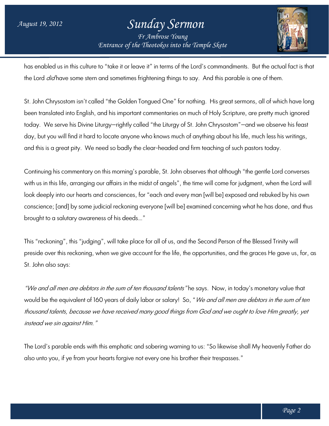## *Entrance of the Theotokos Entrance of into the Temple Skete Sunday Sermon Fr Ambrose Young*



has enabled us in this culture to "take it or leave it" in terms of the Lord's commandments. But the actual fact is that has enabled us in this culture to "take it or leave it" in terms of the Lord's commandments. But the actuc<br>the Lord *did* have some stern and sometimes frightening things to say. And this parable is one of them.

St. John Chrysostom isn't called "the Golden Tongued One" for nothing. His great sermons, all of which have long been translated into English, and his important commentaries on much of Holy Scripture, are pretty much ignored been translated into English, and his important commentaries on much of Holy Scripture, are pretty much ignored<br>today. We serve his Divine Liturgy—rightly called "the Liturgy of St. John Chrysostom"—and we observe his feas day, but you will find it hard to locate anyone who knows much of anything about his life, much less his writings, and this is a great pity. We need so badly the clear-headed and firm teaching of such pastors today. ing things to say. And this parable is one of them.<br>d One" for nothing. His great sermons, all of which have loi<br>entaries on much of Holy Scripture, are pretty much ignored<br>e Liturgy of St. John Chrysostom"—and we observe

Continuing his commentary on this morning's parable, St. John observes that although "the ge gentle Lord converses with us in this life, arranging our affairs in the midst of angels", the time will come for judgment, when the Lord will look deeply into our hearts and consciences, for "each and every man [will be] exposed and rebuked by his own conscience; [and] by some judicial reckoning everyone [will be] examined concerning what he has done, and thus brought to a salutary awareness of his deeds…" inuing his commentary on this morning's parable, St. John observes that although "the gentle Lord conve<br>us in this life, arranging our affairs in the midst of angels", the time will come for judgment, when the Lor<br>deeply i

This "reckoning", this "judging", will take place for all of us, and the Second Person of the Blessed Blessed Trinity will This "reckoning", this "judging", will take place for all of us, and the Second Person of the Blessed Trinity will<br>preside over this reckoning, when we give account for the life, the opportunities, and the graces He gave u St. John also says:

"*We and all men are debtors in the sum of ten thousand talents"* he says. Now, in today's monetary value that would be the equivalent of 160 years of daily labor or salary! So, "*We and all men are debtors in the sum of ten* thousand talents, because we have received many good things from God and we ought to love Him greatly, yet instead we sin against Him."

The Lord's parable ends with this emphatic and sobering warning to us: "So likewise shall My heavenly Father do The Lord's parable ends with this emphatic and sobering warning to us: "So likewise shall My heavenly<br>also unto you, if ye from your hearts forgive not every one his brother their trespasses."